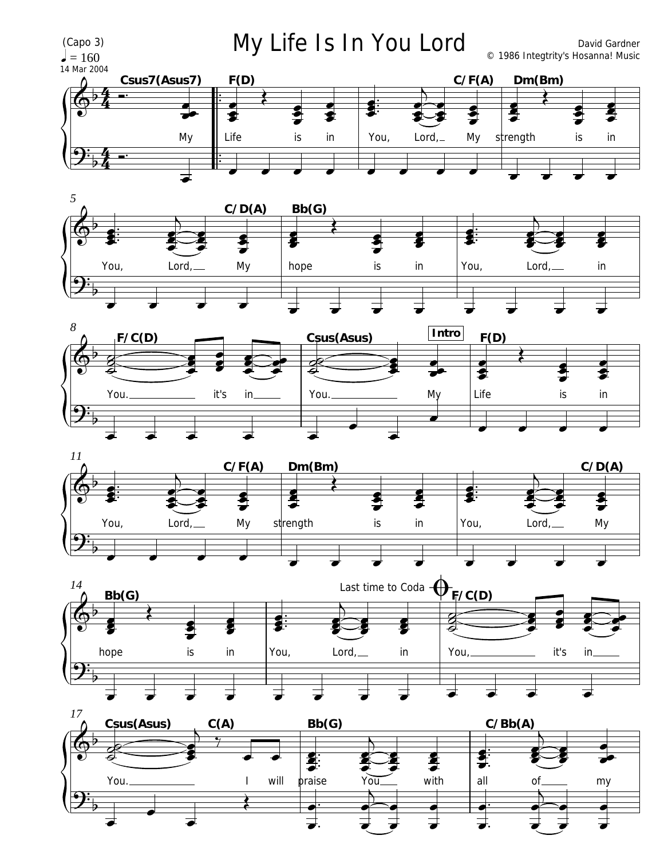